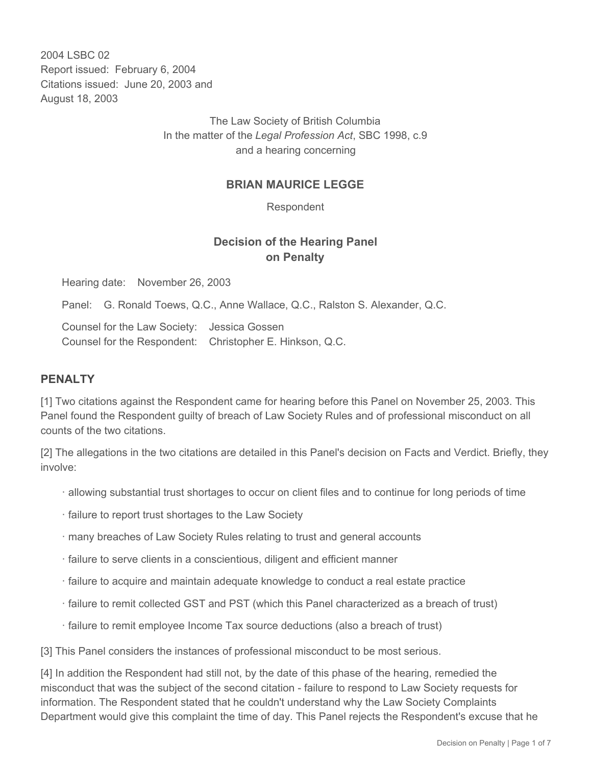2004 LSBC 02 Report issued: February 6, 2004 Citations issued: June 20, 2003 and August 18, 2003

> The Law Society of British Columbia In the matter of the *Legal Profession Act*, SBC 1998, c.9 and a hearing concerning

## **BRIAN MAURICE LEGGE**

Respondent

## **Decision of the Hearing Panel on Penalty**

Hearing date: November 26, 2003

Panel: G. Ronald Toews, Q.C., Anne Wallace, Q.C., Ralston S. Alexander, Q.C.

Counsel for the Law Society: Jessica Gossen Counsel for the Respondent: Christopher E. Hinkson, Q.C.

## **PENALTY**

[1] Two citations against the Respondent came for hearing before this Panel on November 25, 2003. This Panel found the Respondent guilty of breach of Law Society Rules and of professional misconduct on all counts of the two citations.

[2] The allegations in the two citations are detailed in this Panel's decision on Facts and Verdict. Briefly, they involve:

- · allowing substantial trust shortages to occur on client files and to continue for long periods of time
- · failure to report trust shortages to the Law Society
- · many breaches of Law Society Rules relating to trust and general accounts
- · failure to serve clients in a conscientious, diligent and efficient manner
- · failure to acquire and maintain adequate knowledge to conduct a real estate practice
- · failure to remit collected GST and PST (which this Panel characterized as a breach of trust)
- · failure to remit employee Income Tax source deductions (also a breach of trust)

[3] This Panel considers the instances of professional misconduct to be most serious.

[4] In addition the Respondent had still not, by the date of this phase of the hearing, remedied the misconduct that was the subject of the second citation - failure to respond to Law Society requests for information. The Respondent stated that he couldn't understand why the Law Society Complaints Department would give this complaint the time of day. This Panel rejects the Respondent's excuse that he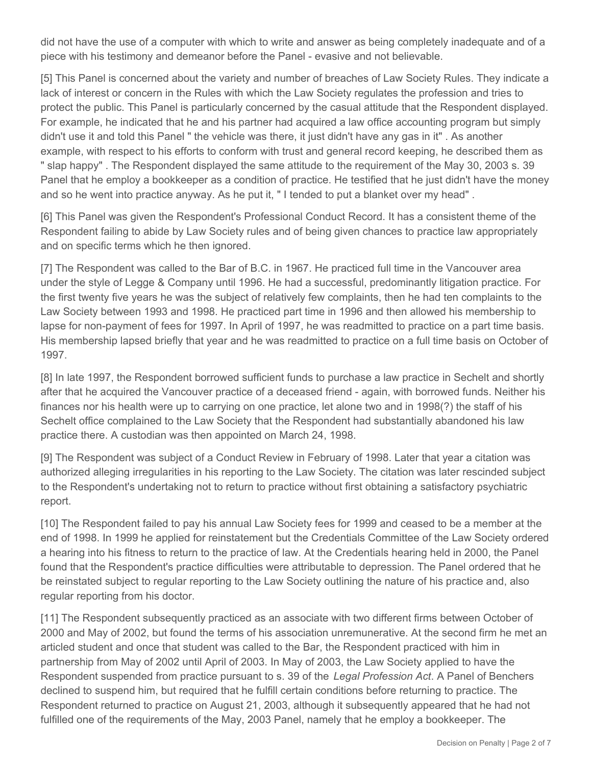did not have the use of a computer with which to write and answer as being completely inadequate and of a piece with his testimony and demeanor before the Panel - evasive and not believable.

[5] This Panel is concerned about the variety and number of breaches of Law Society Rules. They indicate a lack of interest or concern in the Rules with which the Law Society regulates the profession and tries to protect the public. This Panel is particularly concerned by the casual attitude that the Respondent displayed. For example, he indicated that he and his partner had acquired a law office accounting program but simply didn't use it and told this Panel " the vehicle was there, it just didn't have any gas in it" . As another example, with respect to his efforts to conform with trust and general record keeping, he described them as " slap happy" . The Respondent displayed the same attitude to the requirement of the May 30, 2003 s. 39 Panel that he employ a bookkeeper as a condition of practice. He testified that he just didn't have the money and so he went into practice anyway. As he put it, " I tended to put a blanket over my head" .

[6] This Panel was given the Respondent's Professional Conduct Record. It has a consistent theme of the Respondent failing to abide by Law Society rules and of being given chances to practice law appropriately and on specific terms which he then ignored.

[7] The Respondent was called to the Bar of B.C. in 1967. He practiced full time in the Vancouver area under the style of Legge & Company until 1996. He had a successful, predominantly litigation practice. For the first twenty five years he was the subject of relatively few complaints, then he had ten complaints to the Law Society between 1993 and 1998. He practiced part time in 1996 and then allowed his membership to lapse for non-payment of fees for 1997. In April of 1997, he was readmitted to practice on a part time basis. His membership lapsed briefly that year and he was readmitted to practice on a full time basis on October of 1997.

[8] In late 1997, the Respondent borrowed sufficient funds to purchase a law practice in Sechelt and shortly after that he acquired the Vancouver practice of a deceased friend - again, with borrowed funds. Neither his finances nor his health were up to carrying on one practice, let alone two and in 1998(?) the staff of his Sechelt office complained to the Law Society that the Respondent had substantially abandoned his law practice there. A custodian was then appointed on March 24, 1998.

[9] The Respondent was subject of a Conduct Review in February of 1998. Later that year a citation was authorized alleging irregularities in his reporting to the Law Society. The citation was later rescinded subject to the Respondent's undertaking not to return to practice without first obtaining a satisfactory psychiatric report.

[10] The Respondent failed to pay his annual Law Society fees for 1999 and ceased to be a member at the end of 1998. In 1999 he applied for reinstatement but the Credentials Committee of the Law Society ordered a hearing into his fitness to return to the practice of law. At the Credentials hearing held in 2000, the Panel found that the Respondent's practice difficulties were attributable to depression. The Panel ordered that he be reinstated subject to regular reporting to the Law Society outlining the nature of his practice and, also regular reporting from his doctor.

[11] The Respondent subsequently practiced as an associate with two different firms between October of 2000 and May of 2002, but found the terms of his association unremunerative. At the second firm he met an articled student and once that student was called to the Bar, the Respondent practiced with him in partnership from May of 2002 until April of 2003. In May of 2003, the Law Society applied to have the Respondent suspended from practice pursuant to s. 39 of the *Legal Profession Act*. A Panel of Benchers declined to suspend him, but required that he fulfill certain conditions before returning to practice. The Respondent returned to practice on August 21, 2003, although it subsequently appeared that he had not fulfilled one of the requirements of the May, 2003 Panel, namely that he employ a bookkeeper. The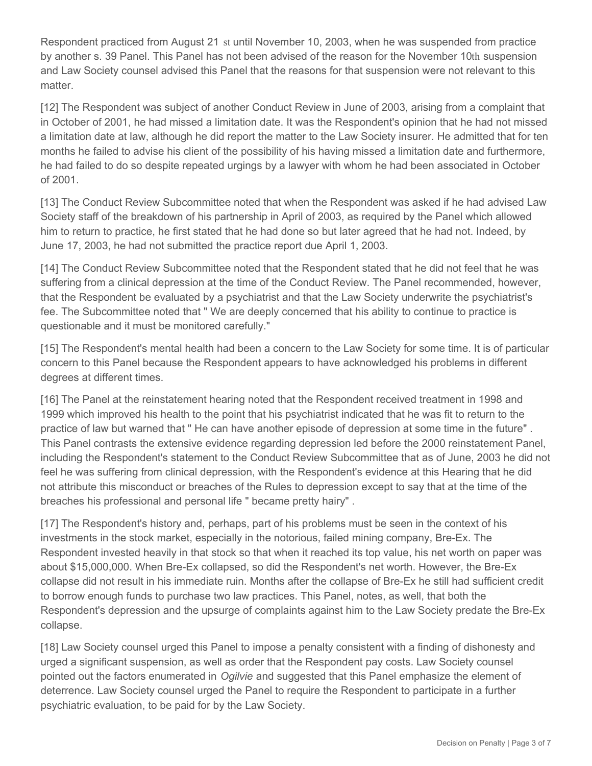Respondent practiced from August 21 st until November 10, 2003, when he was suspended from practice by another s. 39 Panel. This Panel has not been advised of the reason for the November 10th suspension and Law Society counsel advised this Panel that the reasons for that suspension were not relevant to this matter.

[12] The Respondent was subject of another Conduct Review in June of 2003, arising from a complaint that in October of 2001, he had missed a limitation date. It was the Respondent's opinion that he had not missed a limitation date at law, although he did report the matter to the Law Society insurer. He admitted that for ten months he failed to advise his client of the possibility of his having missed a limitation date and furthermore, he had failed to do so despite repeated urgings by a lawyer with whom he had been associated in October of 2001.

[13] The Conduct Review Subcommittee noted that when the Respondent was asked if he had advised Law Society staff of the breakdown of his partnership in April of 2003, as required by the Panel which allowed him to return to practice, he first stated that he had done so but later agreed that he had not. Indeed, by June 17, 2003, he had not submitted the practice report due April 1, 2003.

[14] The Conduct Review Subcommittee noted that the Respondent stated that he did not feel that he was suffering from a clinical depression at the time of the Conduct Review. The Panel recommended, however, that the Respondent be evaluated by a psychiatrist and that the Law Society underwrite the psychiatrist's fee. The Subcommittee noted that " We are deeply concerned that his ability to continue to practice is questionable and it must be monitored carefully."

[15] The Respondent's mental health had been a concern to the Law Society for some time. It is of particular concern to this Panel because the Respondent appears to have acknowledged his problems in different degrees at different times.

[16] The Panel at the reinstatement hearing noted that the Respondent received treatment in 1998 and 1999 which improved his health to the point that his psychiatrist indicated that he was fit to return to the practice of law but warned that " He can have another episode of depression at some time in the future" . This Panel contrasts the extensive evidence regarding depression led before the 2000 reinstatement Panel, including the Respondent's statement to the Conduct Review Subcommittee that as of June, 2003 he did not feel he was suffering from clinical depression, with the Respondent's evidence at this Hearing that he did not attribute this misconduct or breaches of the Rules to depression except to say that at the time of the breaches his professional and personal life " became pretty hairy" .

[17] The Respondent's history and, perhaps, part of his problems must be seen in the context of his investments in the stock market, especially in the notorious, failed mining company, Bre-Ex. The Respondent invested heavily in that stock so that when it reached its top value, his net worth on paper was about \$15,000,000. When Bre-Ex collapsed, so did the Respondent's net worth. However, the Bre-Ex collapse did not result in his immediate ruin. Months after the collapse of Bre-Ex he still had sufficient credit to borrow enough funds to purchase two law practices. This Panel, notes, as well, that both the Respondent's depression and the upsurge of complaints against him to the Law Society predate the Bre-Ex collapse.

[18] Law Society counsel urged this Panel to impose a penalty consistent with a finding of dishonesty and urged a significant suspension, as well as order that the Respondent pay costs. Law Society counsel pointed out the factors enumerated in *Ogilvie* and suggested that this Panel emphasize the element of deterrence. Law Society counsel urged the Panel to require the Respondent to participate in a further psychiatric evaluation, to be paid for by the Law Society.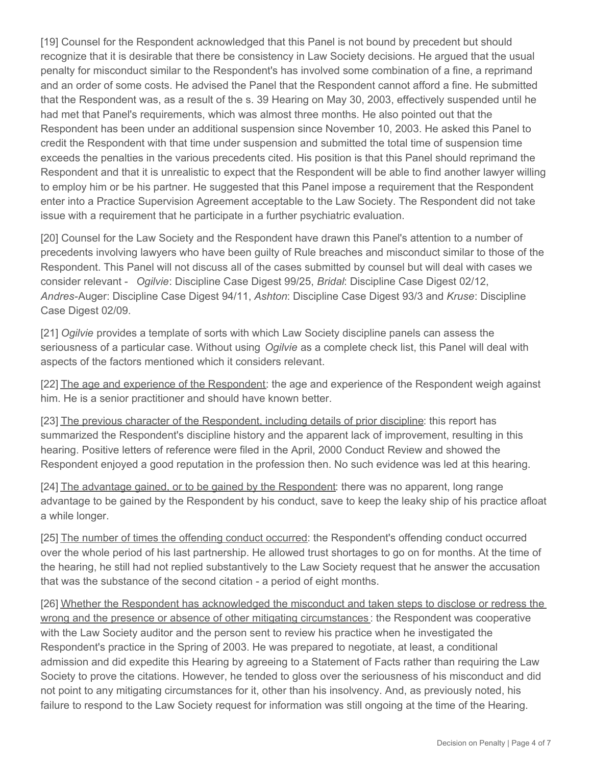[19] Counsel for the Respondent acknowledged that this Panel is not bound by precedent but should recognize that it is desirable that there be consistency in Law Society decisions. He argued that the usual penalty for misconduct similar to the Respondent's has involved some combination of a fine, a reprimand and an order of some costs. He advised the Panel that the Respondent cannot afford a fine. He submitted that the Respondent was, as a result of the s. 39 Hearing on May 30, 2003, effectively suspended until he had met that Panel's requirements, which was almost three months. He also pointed out that the Respondent has been under an additional suspension since November 10, 2003. He asked this Panel to credit the Respondent with that time under suspension and submitted the total time of suspension time exceeds the penalties in the various precedents cited. His position is that this Panel should reprimand the Respondent and that it is unrealistic to expect that the Respondent will be able to find another lawyer willing to employ him or be his partner. He suggested that this Panel impose a requirement that the Respondent enter into a Practice Supervision Agreement acceptable to the Law Society. The Respondent did not take issue with a requirement that he participate in a further psychiatric evaluation.

[20] Counsel for the Law Society and the Respondent have drawn this Panel's attention to a number of precedents involving lawyers who have been guilty of Rule breaches and misconduct similar to those of the Respondent. This Panel will not discuss all of the cases submitted by counsel but will deal with cases we consider relevant - *Ogilvie*: Discipline Case Digest 99/25, *Bridal*: Discipline Case Digest 02/12, *Andres-*Auger: Discipline Case Digest 94/11, *Ashton*: Discipline Case Digest 93/3 and *Kruse*: Discipline Case Digest 02/09.

[21] *Ogilvie* provides a template of sorts with which Law Society discipline panels can assess the seriousness of a particular case. Without using *Ogilvie* as a complete check list, this Panel will deal with aspects of the factors mentioned which it considers relevant.

[22] The age and experience of the Respondent: the age and experience of the Respondent weigh against him. He is a senior practitioner and should have known better.

[23] The previous character of the Respondent, including details of prior discipline: this report has summarized the Respondent's discipline history and the apparent lack of improvement, resulting in this hearing. Positive letters of reference were filed in the April, 2000 Conduct Review and showed the Respondent enjoyed a good reputation in the profession then. No such evidence was led at this hearing.

[24] The advantage gained, or to be gained by the Respondent: there was no apparent, long range advantage to be gained by the Respondent by his conduct, save to keep the leaky ship of his practice afloat a while longer.

[25] The number of times the offending conduct occurred: the Respondent's offending conduct occurred over the whole period of his last partnership. He allowed trust shortages to go on for months. At the time of the hearing, he still had not replied substantively to the Law Society request that he answer the accusation that was the substance of the second citation - a period of eight months.

[26] Whether the Respondent has acknowledged the misconduct and taken steps to disclose or redress the wrong and the presence or absence of other mitigating circumstances : the Respondent was cooperative with the Law Society auditor and the person sent to review his practice when he investigated the Respondent's practice in the Spring of 2003. He was prepared to negotiate, at least, a conditional admission and did expedite this Hearing by agreeing to a Statement of Facts rather than requiring the Law Society to prove the citations. However, he tended to gloss over the seriousness of his misconduct and did not point to any mitigating circumstances for it, other than his insolvency. And, as previously noted, his failure to respond to the Law Society request for information was still ongoing at the time of the Hearing.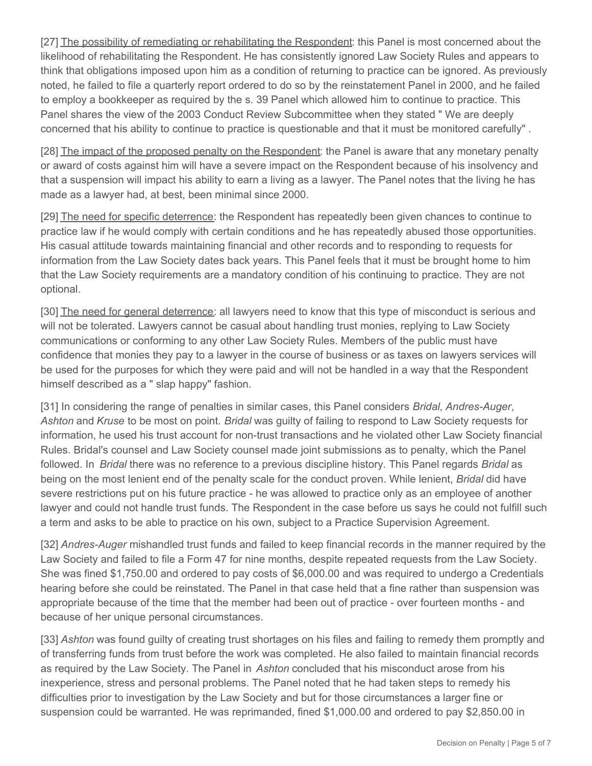[27] The possibility of remediating or rehabilitating the Respondent: this Panel is most concerned about the likelihood of rehabilitating the Respondent. He has consistently ignored Law Society Rules and appears to think that obligations imposed upon him as a condition of returning to practice can be ignored. As previously noted, he failed to file a quarterly report ordered to do so by the reinstatement Panel in 2000, and he failed to employ a bookkeeper as required by the s. 39 Panel which allowed him to continue to practice. This Panel shares the view of the 2003 Conduct Review Subcommittee when they stated " We are deeply concerned that his ability to continue to practice is questionable and that it must be monitored carefully" .

[28] The impact of the proposed penalty on the Respondent: the Panel is aware that any monetary penalty or award of costs against him will have a severe impact on the Respondent because of his insolvency and that a suspension will impact his ability to earn a living as a lawyer. The Panel notes that the living he has made as a lawyer had, at best, been minimal since 2000.

[29] The need for specific deterrence: the Respondent has repeatedly been given chances to continue to practice law if he would comply with certain conditions and he has repeatedly abused those opportunities. His casual attitude towards maintaining financial and other records and to responding to requests for information from the Law Society dates back years. This Panel feels that it must be brought home to him that the Law Society requirements are a mandatory condition of his continuing to practice. They are not optional.

[30] The need for general deterrence: all lawyers need to know that this type of misconduct is serious and will not be tolerated. Lawyers cannot be casual about handling trust monies, replying to Law Society communications or conforming to any other Law Society Rules. Members of the public must have confidence that monies they pay to a lawyer in the course of business or as taxes on lawyers services will be used for the purposes for which they were paid and will not be handled in a way that the Respondent himself described as a " slap happy" fashion.

[31] In considering the range of penalties in similar cases, this Panel considers *Bridal*, *Andres-Auger*, *Ashton* and *Kruse* to be most on point. *Bridal* was guilty of failing to respond to Law Society requests for information, he used his trust account for non-trust transactions and he violated other Law Society financial Rules. Bridal's counsel and Law Society counsel made joint submissions as to penalty, which the Panel followed. In *Bridal* there was no reference to a previous discipline history. This Panel regards *Bridal* as being on the most lenient end of the penalty scale for the conduct proven. While lenient, *Bridal* did have severe restrictions put on his future practice - he was allowed to practice only as an employee of another lawyer and could not handle trust funds. The Respondent in the case before us says he could not fulfill such a term and asks to be able to practice on his own, subject to a Practice Supervision Agreement.

[32] *Andres-Auger* mishandled trust funds and failed to keep financial records in the manner required by the Law Society and failed to file a Form 47 for nine months, despite repeated requests from the Law Society. She was fined \$1,750.00 and ordered to pay costs of \$6,000.00 and was required to undergo a Credentials hearing before she could be reinstated. The Panel in that case held that a fine rather than suspension was appropriate because of the time that the member had been out of practice - over fourteen months - and because of her unique personal circumstances.

[33] *Ashton* was found guilty of creating trust shortages on his files and failing to remedy them promptly and of transferring funds from trust before the work was completed. He also failed to maintain financial records as required by the Law Society. The Panel in *Ashton* concluded that his misconduct arose from his inexperience, stress and personal problems. The Panel noted that he had taken steps to remedy his difficulties prior to investigation by the Law Society and but for those circumstances a larger fine or suspension could be warranted. He was reprimanded, fined \$1,000.00 and ordered to pay \$2,850.00 in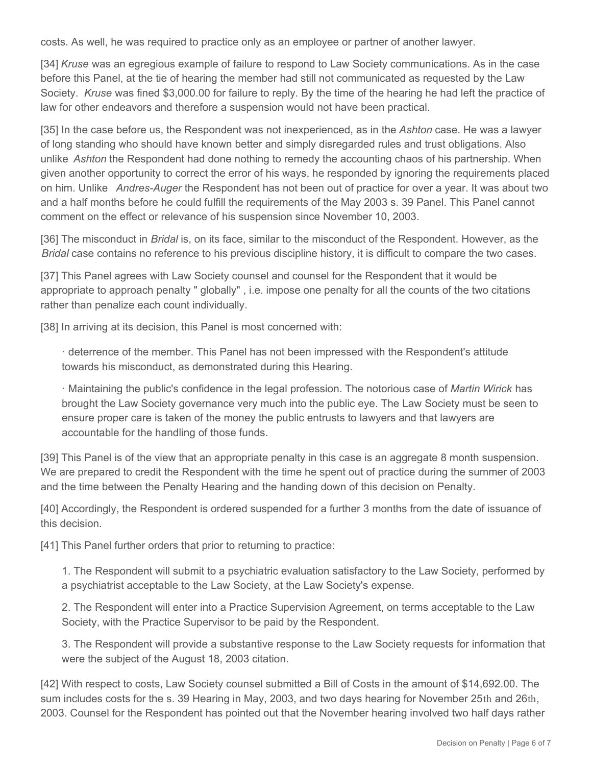costs. As well, he was required to practice only as an employee or partner of another lawyer.

[34] *Kruse* was an egregious example of failure to respond to Law Society communications. As in the case before this Panel, at the tie of hearing the member had still not communicated as requested by the Law Society. *Kruse* was fined \$3,000.00 for failure to reply. By the time of the hearing he had left the practice of law for other endeavors and therefore a suspension would not have been practical.

[35] In the case before us, the Respondent was not inexperienced, as in the *Ashton* case. He was a lawyer of long standing who should have known better and simply disregarded rules and trust obligations. Also unlike *Ashton* the Respondent had done nothing to remedy the accounting chaos of his partnership. When given another opportunity to correct the error of his ways, he responded by ignoring the requirements placed on him. Unlike *Andres-Auger* the Respondent has not been out of practice for over a year. It was about two and a half months before he could fulfill the requirements of the May 2003 s. 39 Panel. This Panel cannot comment on the effect or relevance of his suspension since November 10, 2003.

[36] The misconduct in *Bridal* is, on its face, similar to the misconduct of the Respondent. However, as the *Bridal* case contains no reference to his previous discipline history, it is difficult to compare the two cases.

[37] This Panel agrees with Law Society counsel and counsel for the Respondent that it would be appropriate to approach penalty " globally" , i.e. impose one penalty for all the counts of the two citations rather than penalize each count individually.

[38] In arriving at its decision, this Panel is most concerned with:

· deterrence of the member. This Panel has not been impressed with the Respondent's attitude towards his misconduct, as demonstrated during this Hearing.

· Maintaining the public's confidence in the legal profession. The notorious case of *Martin Wirick* has brought the Law Society governance very much into the public eye. The Law Society must be seen to ensure proper care is taken of the money the public entrusts to lawyers and that lawyers are accountable for the handling of those funds.

[39] This Panel is of the view that an appropriate penalty in this case is an aggregate 8 month suspension. We are prepared to credit the Respondent with the time he spent out of practice during the summer of 2003 and the time between the Penalty Hearing and the handing down of this decision on Penalty.

[40] Accordingly, the Respondent is ordered suspended for a further 3 months from the date of issuance of this decision.

[41] This Panel further orders that prior to returning to practice:

1. The Respondent will submit to a psychiatric evaluation satisfactory to the Law Society, performed by a psychiatrist acceptable to the Law Society, at the Law Society's expense.

2. The Respondent will enter into a Practice Supervision Agreement, on terms acceptable to the Law Society, with the Practice Supervisor to be paid by the Respondent.

3. The Respondent will provide a substantive response to the Law Society requests for information that were the subject of the August 18, 2003 citation.

[42] With respect to costs, Law Society counsel submitted a Bill of Costs in the amount of \$14,692.00. The sum includes costs for the s. 39 Hearing in May, 2003, and two days hearing for November 25th and 26th, 2003. Counsel for the Respondent has pointed out that the November hearing involved two half days rather